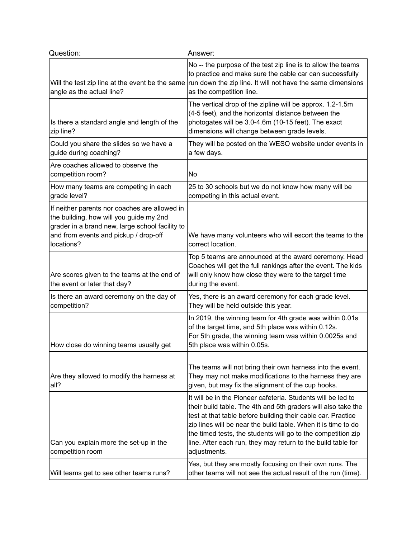| Question:                                                                                                                                                                                          | Answer:                                                                                                                                                                                                                                                                                                                                                                                                        |
|----------------------------------------------------------------------------------------------------------------------------------------------------------------------------------------------------|----------------------------------------------------------------------------------------------------------------------------------------------------------------------------------------------------------------------------------------------------------------------------------------------------------------------------------------------------------------------------------------------------------------|
| Will the test zip line at the event be the same<br>angle as the actual line?                                                                                                                       | No -- the purpose of the test zip line is to allow the teams<br>to practice and make sure the cable car can successfully<br>run down the zip line. It will not have the same dimensions<br>as the competition line.                                                                                                                                                                                            |
| Is there a standard angle and length of the<br>zip line?                                                                                                                                           | The vertical drop of the zipline will be approx. 1.2-1.5m<br>(4-5 feet), and the horizontal distance between the<br>photogates will be 3.0-4.6m (10-15 feet). The exact<br>dimensions will change between grade levels.                                                                                                                                                                                        |
| Could you share the slides so we have a<br>guide during coaching?                                                                                                                                  | They will be posted on the WESO website under events in<br>a few days.                                                                                                                                                                                                                                                                                                                                         |
| Are coaches allowed to observe the<br>competition room?                                                                                                                                            | No                                                                                                                                                                                                                                                                                                                                                                                                             |
| How many teams are competing in each<br>grade level?                                                                                                                                               | 25 to 30 schools but we do not know how many will be<br>competing in this actual event.                                                                                                                                                                                                                                                                                                                        |
| If neither parents nor coaches are allowed in<br>the building, how will you guide my 2nd<br>grader in a brand new, large school facility to<br>and from events and pickup / drop-off<br>locations? | We have many volunteers who will escort the teams to the<br>correct location.                                                                                                                                                                                                                                                                                                                                  |
| Are scores given to the teams at the end of<br>the event or later that day?                                                                                                                        | Top 5 teams are announced at the award ceremony. Head<br>Coaches will get the full rankings after the event. The kids<br>will only know how close they were to the target time<br>during the event.                                                                                                                                                                                                            |
| Is there an award ceremony on the day of<br>competition?                                                                                                                                           | Yes, there is an award ceremony for each grade level.<br>They will be held outside this year.                                                                                                                                                                                                                                                                                                                  |
| How close do winning teams usually get                                                                                                                                                             | In 2019, the winning team for 4th grade was within 0.01s<br>of the target time, and 5th place was within 0.12s.<br>For 5th grade, the winning team was within 0.0025s and<br>5th place was within 0.05s.                                                                                                                                                                                                       |
| Are they allowed to modify the harness at<br>all?                                                                                                                                                  | The teams will not bring their own harness into the event.<br>They may not make modifications to the harness they are<br>given, but may fix the alignment of the cup hooks.                                                                                                                                                                                                                                    |
| Can you explain more the set-up in the<br>competition room                                                                                                                                         | It will be in the Pioneer cafeteria. Students will be led to<br>their build table. The 4th and 5th graders will also take the<br>test at that table before building their cable car. Practice<br>zip lines will be near the build table. When it is time to do<br>the timed tests, the students will go to the competition zip<br>line. After each run, they may return to the build table for<br>adjustments. |
| Will teams get to see other teams runs?                                                                                                                                                            | Yes, but they are mostly focusing on their own runs. The<br>other teams will not see the actual result of the run (time).                                                                                                                                                                                                                                                                                      |